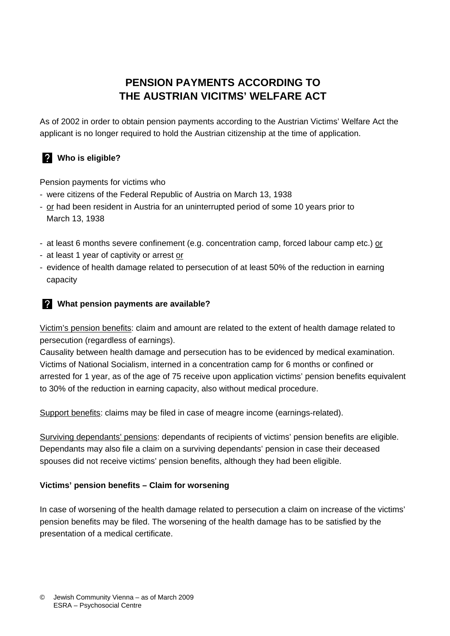# **PENSION PAYMENTS ACCORDING TO THE AUSTRIAN VICITMS' WELFARE ACT**

As of 2002 in order to obtain pension payments according to the Austrian Victims' Welfare Act the applicant is no longer required to hold the Austrian citizenship at the time of application.

## **Who is eligible?**

Pension payments for victims who

- were citizens of the Federal Republic of Austria on March 13, 1938
- or had been resident in Austria for an uninterrupted period of some 10 years prior to March 13, 1938
- at least 6 months severe confinement (e.g. concentration camp, forced labour camp etc.) or
- at least 1 year of captivity or arrest or
- evidence of health damage related to persecution of at least 50% of the reduction in earning capacity

## **What pension payments are available?**

Victim's pension benefits: claim and amount are related to the extent of health damage related to persecution (regardless of earnings).

Causality between health damage and persecution has to be evidenced by medical examination. Victims of National Socialism, interned in a concentration camp for 6 months or confined or arrested for 1 year, as of the age of 75 receive upon application victims' pension benefits equivalent to 30% of the reduction in earning capacity, also without medical procedure.

Support benefits: claims may be filed in case of meagre income (earnings-related).

Surviving dependants' pensions: dependants of recipients of victims' pension benefits are eligible. Dependants may also file a claim on a surviving dependants' pension in case their deceased spouses did not receive victims' pension benefits, although they had been eligible.

## **Victims' pension benefits – Claim for worsening**

In case of worsening of the health damage related to persecution a claim on increase of the victims' pension benefits may be filed. The worsening of the health damage has to be satisfied by the presentation of a medical certificate.